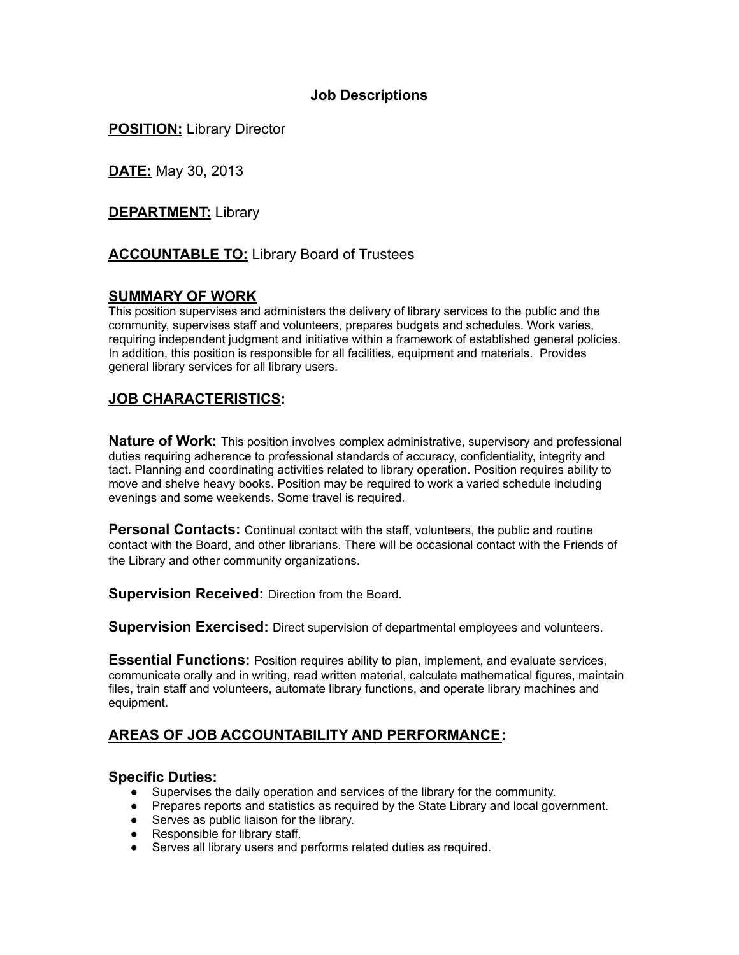## **Job Descriptions**

**POSITION:** Library Director

**DATE:** May 30, 2013

**DEPARTMENT:** Library

# **ACCOUNTABLE TO:** Library Board of Trustees

## **SUMMARY OF WORK**

This position supervises and administers the delivery of library services to the public and the community, supervises staff and volunteers, prepares budgets and schedules. Work varies, requiring independent judgment and initiative within a framework of established general policies. In addition, this position is responsible for all facilities, equipment and materials. Provides general library services for all library users.

## **JOB CHARACTERISTICS:**

**Nature of Work:** This position involves complex administrative, supervisory and professional duties requiring adherence to professional standards of accuracy, confidentiality, integrity and tact. Planning and coordinating activities related to library operation. Position requires ability to move and shelve heavy books. Position may be required to work a varied schedule including evenings and some weekends. Some travel is required.

**Personal Contacts:** Continual contact with the staff, volunteers, the public and routine contact with the Board, and other librarians. There will be occasional contact with the Friends of the Library and other community organizations.

**Supervision Received:** Direction from the Board.

**Supervision Exercised:** Direct supervision of departmental employees and volunteers.

**Essential Functions:** Position requires ability to plan, implement, and evaluate services, communicate orally and in writing, read written material, calculate mathematical figures, maintain files, train staff and volunteers, automate library functions, and operate library machines and equipment.

# **AREAS OF JOB ACCOUNTABILITY AND PERFORMANCE:**

### **Specific Duties:**

- Supervises the daily operation and services of the library for the community.
- Prepares reports and statistics as required by the State Library and local government.
- Serves as public liaison for the library.
- Responsible for library staff.
- Serves all library users and performs related duties as required.